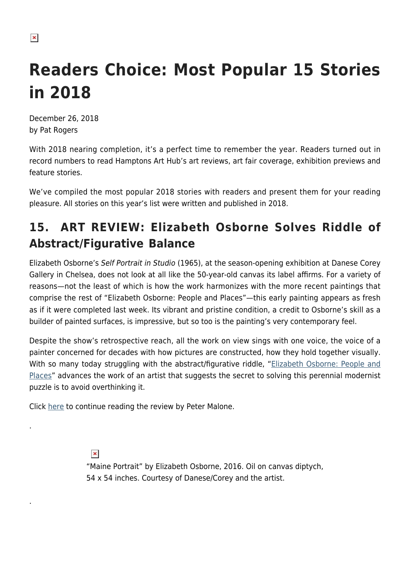# **Readers Choice: Most Popular 15 Stories in 2018**

December 26, 2018 by Pat Rogers

With 2018 nearing completion, it's a perfect time to remember the year. Readers turned out in record numbers to read Hamptons Art Hub's art reviews, art fair coverage, exhibition previews and feature stories.

We've compiled the most popular 2018 stories with readers and present them for your reading pleasure. All stories on this year's list were written and published in 2018.

# **15. ART REVIEW: Elizabeth Osborne Solves Riddle of Abstract/Figurative Balance**

Elizabeth Osborne's Self Portrait in Studio (1965), at the season-opening exhibition at Danese Corey Gallery in Chelsea, does not look at all like the 50-year-old canvas its label affirms. For a variety of reasons—not the least of which is how the work harmonizes with the more recent paintings that comprise the rest of "Elizabeth Osborne: People and Places"—this early painting appears as fresh as if it were completed last week. Its vibrant and pristine condition, a credit to Osborne's skill as a builder of painted surfaces, is impressive, but so too is the painting's very contemporary feel.

Despite the show's retrospective reach, all the work on view sings with one voice, the voice of a painter concerned for decades with how pictures are constructed, how they hold together visually. With so many today struggling with the abstract/figurative riddle, ["Elizabeth Osborne: People and](http://www.danesecorey.com/exhibitions/elizabeth-osborne) [Places](http://www.danesecorey.com/exhibitions/elizabeth-osborne)" advances the work of an artist that suggests the secret to solving this perennial modernist puzzle is to avoid overthinking it.

Click [here](https://hamptonsarthub.com/2018/09/24/reviews-elizabeth-osborne-people-and-places/) to continue reading the review by Peter Malone.

 $\pmb{\times}$ 

.

.

"Maine Portrait" by Elizabeth Osborne, 2016. Oil on canvas diptych, 54 x 54 inches. Courtesy of Danese/Corey and the artist.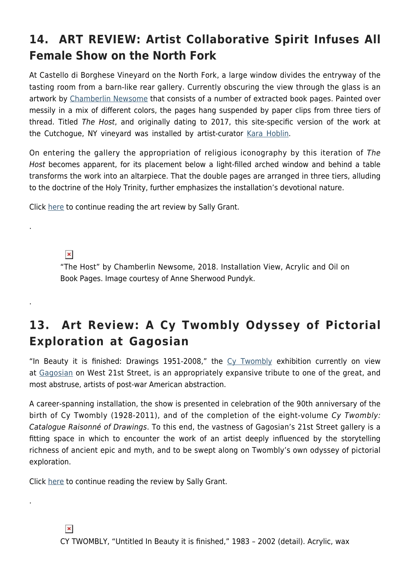# **14. ART REVIEW: Artist Collaborative Spirit Infuses All Female Show on the North Fork**

At Castello di Borghese Vineyard on the North Fork, a large window divides the entryway of the tasting room from a barn-like rear gallery. Currently obscuring the view through the glass is an artwork by [Chamberlin Newsome](http://www.chamberlinnewsome.com/) that consists of a number of extracted book pages. Painted over messily in a mix of different colors, the pages hang suspended by paper clips from three tiers of thread. Titled The Host, and originally dating to 2017, this site-specific version of the work at the Cutchogue, NY vineyard was installed by artist-curator [Kara Hoblin](http://www.karahoblin.com/).

On entering the gallery the appropriation of religious iconography by this iteration of The Host becomes apparent, for its placement below a light-filled arched window and behind a table transforms the work into an altarpiece. That the double pages are arranged in three tiers, alluding to the doctrine of the Holy Trinity, further emphasizes the installation's devotional nature.

Click [here](https://hamptonsarthub.com/2018/08/17/reviews-art-review-exploring-the-expressive-possibilities-pursued-by-women-artists/) to continue reading the art review by Sally Grant.

 $\pmb{\times}$ 

.

.

.

"The Host" by Chamberlin Newsome, 2018. Installation View, Acrylic and Oil on Book Pages. Image courtesy of Anne Sherwood Pundyk.

#### **13. Art Review: A Cy Twombly Odyssey of Pictorial Exploration at Gagosian**

"In Beauty it is finished: Drawings 1951-2008," the [Cy Twombly](https://www.gagosian.com/artists/cy-twombly) exhibition currently on view at [Gagosian](https://www.gagosian.com/) on West 21st Street, is an appropriately expansive tribute to one of the great, and most abstruse, artists of post-war American abstraction.

A career-spanning installation, the show is presented in celebration of the 90th anniversary of the birth of Cy Twombly (1928-2011), and of the completion of the eight-volume Cy Twombly: Catalogue Raisonné of Drawings. To this end, the vastness of Gagosian's 21st Street gallery is a fitting space in which to encounter the work of an artist deeply influenced by the storytelling richness of ancient epic and myth, and to be swept along on Twombly's own odyssey of pictorial exploration.

Click [here](https://hamptonsarthub.com/2018/03/23/reviews-art-review-a-cy-twombly-odyssey-of-pictorial-exploration-at-gagosian/) to continue reading the review by Sally Grant.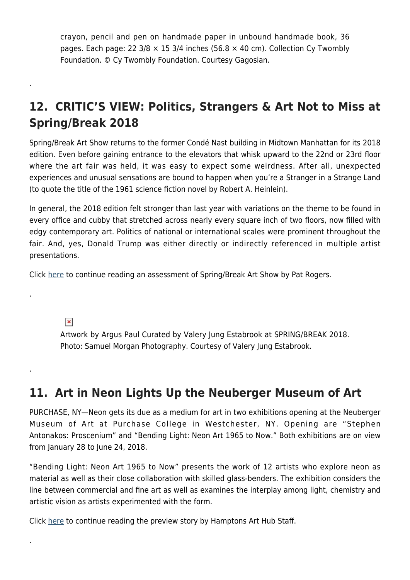crayon, pencil and pen on handmade paper in unbound handmade book, 36 pages. Each page: 22 3/8  $\times$  15 3/4 inches (56.8  $\times$  40 cm). Collection Cy Twombly Foundation. © Cy Twombly Foundation. Courtesy Gagosian.

# **12. CRITIC'S VIEW: Politics, Strangers & Art Not to Miss at Spring/Break 2018**

Spring/Break Art Show returns to the former Condé Nast building in Midtown Manhattan for its 2018 edition. Even before gaining entrance to the elevators that whisk upward to the 22nd or 23rd floor where the art fair was held, it was easy to expect some weirdness. After all, unexpected experiences and unusual sensations are bound to happen when you're a Stranger in a Strange Land (to quote the title of the 1961 science fiction novel by Robert A. Heinlein).

In general, the 2018 edition felt stronger than last year with variations on the theme to be found in every office and cubby that stretched across nearly every square inch of two floors, now filled with edgy contemporary art. Politics of national or international scales were prominent throughout the fair. And, yes, Donald Trump was either directly or indirectly referenced in multiple artist presentations.

Click [here](https://hamptonsarthub.com/2018/03/10/art-fairs-politics-strangers-art-not-to-miss-at-spring-break-2018/) to continue reading an assessment of Spring/Break Art Show by Pat Rogers.

 $\pmb{\times}$ 

.

.

.

.

Artwork by Argus Paul Curated by Valery Jung Estabrook at SPRING/BREAK 2018. Photo: Samuel Morgan Photography. Courtesy of Valery Jung Estabrook.

#### **11. Art in Neon Lights Up the Neuberger Museum of Art**

PURCHASE, NY—Neon gets its due as a medium for art in two exhibitions opening at the Neuberger Museum of Art at Purchase College in Westchester, NY. Opening are "Stephen Antonakos: Proscenium" and "Bending Light: Neon Art 1965 to Now." Both exhibitions are on view from January 28 to June 24, 2018.

"Bending Light: Neon Art 1965 to Now" presents the work of 12 artists who explore neon as material as well as their close collaboration with skilled glass-benders. The exhibition considers the line between commercial and fine art as well as examines the interplay among light, chemistry and artistic vision as artists experimented with the form.

Click [here](https://hamptonsarthub.com/2018/01/25/exhibitions-neon-art-lights-up-the-neuberger-museum-of-art/) to continue reading the preview story by Hamptons Art Hub Staff.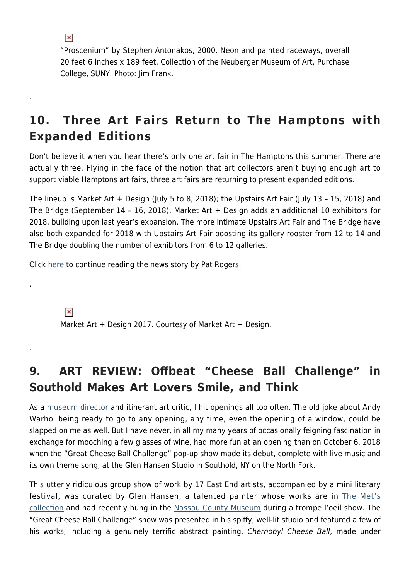$\pmb{\times}$ 

.

.

.

"Proscenium" by Stephen Antonakos, 2000. Neon and painted raceways, overall 20 feet 6 inches x 189 feet. Collection of the Neuberger Museum of Art, Purchase College, SUNY. Photo: Jim Frank.

## **10. Three Art Fairs Return to The Hamptons with Expanded Editions**

Don't believe it when you hear there's only one art fair in The Hamptons this summer. There are actually three. Flying in the face of the notion that art collectors aren't buying enough art to support viable Hamptons art fairs, three art fairs are returning to present expanded editions.

The lineup is Market Art + Design (July 5 to 8, 2018); the Upstairs Art Fair (July 13 – 15, 2018) and The Bridge (September 14 – 16, 2018). Market Art + Design adds an additional 10 exhibitors for 2018, building upon last year's expansion. The more intimate Upstairs Art Fair and The Bridge have also both expanded for 2018 with Upstairs Art Fair boosting its gallery rooster from 12 to 14 and The Bridge doubling the number of exhibitors from 6 to 12 galleries.

Click [here](https://hamptonsarthub.com/2018/07/05/art-fairs-three-art-fairs-return-to-the-hamptons-with-expanded-editions/) to continue reading the news story by Pat Rogers.

 $\pmb{\times}$ 

Market Art + Design 2017. Courtesy of Market Art + Design.

#### **9. ART REVIEW: Offbeat "Cheese Ball Challenge" in Southold Makes Art Lovers Smile, and Think**

As a [museum director](https://hamptonsarthub.com/2017/08/14/news-nassau-county-museum-of-art-appoints-charles-a-riley-ii-as-new-director/) and itinerant art critic, I hit openings all too often. The old joke about Andy Warhol being ready to go to any opening, any time, even the opening of a window, could be slapped on me as well. But I have never, in all my many years of occasionally feigning fascination in exchange for mooching a few glasses of wine, had more fun at an opening than on October 6, 2018 when the "Great Cheese Ball Challenge" pop-up show made its debut, complete with live music and its own theme song, at the Glen Hansen Studio in Southold, NY on the North Fork.

This utterly ridiculous group show of work by 17 East End artists, accompanied by a mini literary festival, was curated by Glen Hansen, a talented painter whose works are in [The Met's](https://metmuseum.org/art/collection/search/486893) [collection](https://metmuseum.org/art/collection/search/486893) and had recently hung in the [Nassau County Museum](http://www.nassaumuseum.com/) during a trompe l'oeil show. The "Great Cheese Ball Challenge" show was presented in his spiffy, well-lit studio and featured a few of his works, including a genuinely terrific abstract painting, Chernobyl Cheese Ball, made under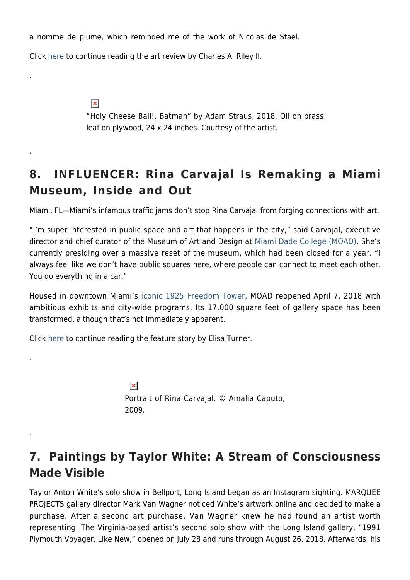a nomme de plume, which reminded me of the work of Nicolas de Stael.

Click [here](https://hamptonsarthub.com/2018/11/02/reveiews-offbeat-cheese-ball-challenge-in-southold-makes-art-lovers-smile-and-think/) to continue reading the art review by Charles A. Riley II.

.

.

.

.

 $\pmb{\times}$ "Holy Cheese Ball!, Batman" by Adam Straus, 2018. Oil on brass leaf on plywood, 24 x 24 inches. Courtesy of the artist.

#### **8. INFLUENCER: Rina Carvajal Is Remaking a Miami Museum, Inside and Out**

Miami, FL—Miami's infamous traffic jams don't stop Rina Carvajal from forging connections with art.

"I'm super interested in public space and art that happens in the city," said Carvajal, executive director and chief curator of the Museum of Art and Design a[t Miami Dade College \(MOAD\).](http://mdcmoad.org/) She's currently presiding over a massive reset of the museum, which had been closed for a year. "I always feel like we don't have public squares here, where people can connect to meet each other. You do everything in a car."

Housed in downtown Miami's [iconic 1925 Freedom Tower,](http://www.mdcmoad.org/freedom-tower/default.aspx) MOAD reopened April 7, 2018 with ambitious exhibits and city-wide programs. Its 17,000 square feet of gallery space has been transformed, although that's not immediately apparent.

Click [here](https://hamptonsarthub.com/2018/06/05/features-rina-carvajal-is-remaking-a-miami-museum-inside-and-out/) to continue reading the feature story by Elisa Turner.

 $\pmb{\times}$ Portrait of Rina Carvajal. © Amalia Caputo, 2009.

#### **7. Paintings by Taylor White: A Stream of Consciousness Made Visible**

Taylor Anton White's solo show in Bellport, Long Island began as an Instagram sighting. MARQUEE PROJECTS gallery director Mark Van Wagner noticed White's artwork online and decided to make a purchase. After a second art purchase, Van Wagner knew he had found an artist worth representing. The Virginia-based artist's second solo show with the Long Island gallery, "1991 Plymouth Voyager, Like New," opened on July 28 and runs through August 26, 2018. Afterwards, his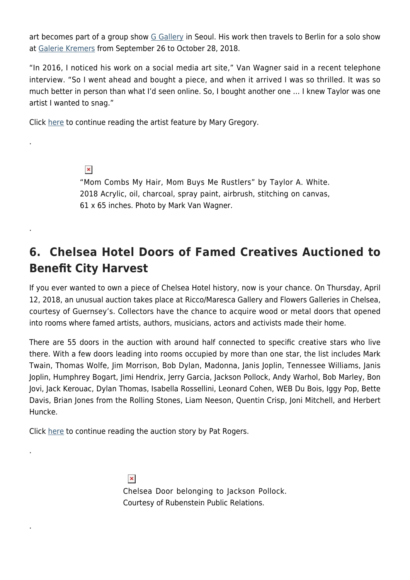art becomes part of a group show [G Gallery](https://www.gexhibit.com/) in Seoul. His work then travels to Berlin for a solo show at [Galerie Kremers](https://galerie-kremers.de/en/home-2/) from September 26 to October 28, 2018.

"In 2016, I noticed his work on a social media art site," Van Wagner said in a recent telephone interview. "So I went ahead and bought a piece, and when it arrived I was so thrilled. It was so much better in person than what I'd seen online. So, I bought another one … I knew Taylor was one artist I wanted to snag."

Click [here](https://hamptonsarthub.com/2018/08/20/artists-a-stream-of-consciousness-on-canvas-in-taylor-white-works/) to continue reading the artist feature by Mary Gregory.

.

.

.

.

 $\pmb{\times}$ "Mom Combs My Hair, Mom Buys Me Rustlers" by Taylor A. White. 2018 Acrylic, oil, charcoal, spray paint, airbrush, stitching on canvas, 61 x 65 inches. Photo by Mark Van Wagner.

## **6. Chelsea Hotel Doors of Famed Creatives Auctioned to Benefit City Harvest**

If you ever wanted to own a piece of Chelsea Hotel history, now is your chance. On Thursday, April 12, 2018, an unusual auction takes place at Ricco/Maresca Gallery and Flowers Galleries in Chelsea, courtesy of Guernsey's. Collectors have the chance to acquire wood or metal doors that opened into rooms where famed artists, authors, musicians, actors and activists made their home.

There are 55 doors in the auction with around half connected to specific creative stars who live there. With a few doors leading into rooms occupied by more than one star, the list includes Mark Twain, Thomas Wolfe, Jim Morrison, Bob Dylan, Madonna, Janis Joplin, Tennessee Williams, Janis Joplin, Humphrey Bogart, Jimi Hendrix, Jerry Garcia, Jackson Pollock, Andy Warhol, Bob Marley, Bon Jovi, Jack Kerouac, Dylan Thomas, Isabella Rossellini, Leonard Cohen, WEB Du Bois, Iggy Pop, Bette Davis, Brian Jones from the Rolling Stones, Liam Neeson, Quentin Crisp, Joni Mitchell, and Herbert Huncke.

Click [here](https://hamptonsarthub.com/2018/04/11/features-chelsea-hotel-doors-of-famed-creatives-auctioned-to-benefit-city-harvest/) to continue reading the auction story by Pat Rogers.

 $\pmb{\times}$ Chelsea Door belonging to Jackson Pollock. Courtesy of Rubenstein Public Relations.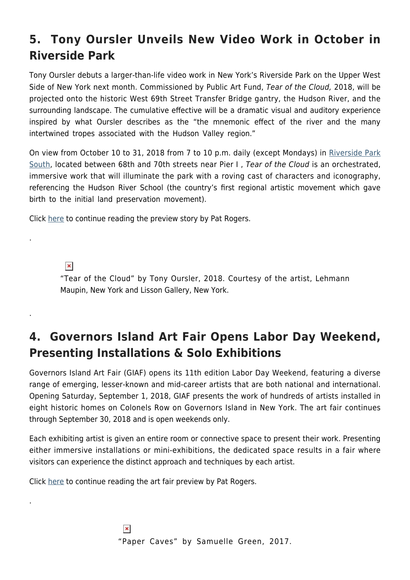# **5. Tony Oursler Unveils New Video Work in October in Riverside Park**

Tony Oursler debuts a larger-than-life video work in New York's Riverside Park on the Upper West Side of New York next month. Commissioned by Public Art Fund, Tear of the Cloud, 2018, will be projected onto the historic West 69th Street Transfer Bridge gantry, the Hudson River, and the surrounding landscape. The cumulative effective will be a dramatic visual and auditory experience inspired by what Oursler describes as the "the mnemonic effect of the river and the many intertwined tropes associated with the Hudson Valley region."

On view from October 10 to 31, 2018 from 7 to 10 p.m. daily (except Mondays) in [Riverside Park](https://www.nycgovparks.org/parks/riverside-park) [South,](https://www.nycgovparks.org/parks/riverside-park) located between 68th and 70th streets near Pier I , Tear of the Cloud is an orchestrated, immersive work that will illuminate the park with a roving cast of characters and iconography, referencing the Hudson River School (the country's first regional artistic movement which gave birth to the initial land preservation movement).

Click [here](https://hamptonsarthub.com/2018/09/20/exhibitions-tony-oursler-unveils-new-video-work-projected-in-riverside-park/) to continue reading the preview story by Pat Rogers.

 $\pmb{\times}$ 

.

.

.

"Tear of the Cloud" by Tony Oursler, 2018. Courtesy of the artist, Lehmann Maupin, New York and Lisson Gallery, New York.

## **4. Governors Island Art Fair Opens Labor Day Weekend, Presenting Installations & Solo Exhibitions**

Governors Island Art Fair (GIAF) opens its 11th edition Labor Day Weekend, featuring a diverse range of emerging, lesser-known and mid-career artists that are both national and international. Opening Saturday, September 1, 2018, GIAF presents the work of hundreds of artists installed in eight historic homes on Colonels Row on Governors Island in New York. The art fair continues through September 30, 2018 and is open weekends only.

Each exhibiting artist is given an entire room or connective space to present their work. Presenting either immersive installations or mini-exhibitions, the dedicated space results in a fair where visitors can experience the distinct approach and techniques by each artist.

Click [here](https://hamptonsarthub.com/2018/08/18/art-fairs-governors-island-art-fair-continues-connection-between-emerging-artists-historic-site/) to continue reading the art fair preview by Pat Rogers.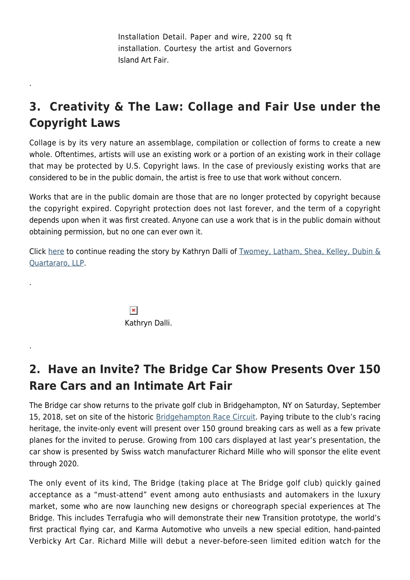Installation Detail. Paper and wire, 2200 sq ft installation. Courtesy the artist and Governors Island Art Fair.

# **3. Creativity & The Law: Collage and Fair Use under the Copyright Laws**

Collage is by its very nature an assemblage, compilation or collection of forms to create a new whole. Oftentimes, artists will use an existing work or a portion of an existing work in their collage that may be protected by U.S. Copyright laws. In the case of previously existing works that are considered to be in the public domain, the artist is free to use that work without concern.

Works that are in the public domain are those that are no longer protected by copyright because the copyright expired. Copyright protection does not last forever, and the term of a copyright depends upon when it was first created. Anyone can use a work that is in the public domain without obtaining permission, but no one can ever own it.

Click [here](https://hamptonsarthub.com/2018/05/16/features-creativity-the-law-collage-and-fair-use-under-the-copyright-laws/) to continue reading the story by Kathryn Dalli of [Twomey, Latham, Shea, Kelley, Dubin &](https://suffolklaw.com/) [Quartararo, LLP.](https://suffolklaw.com/)

> $\pmb{\times}$ Kathryn Dalli.

.

.

.

#### **2. Have an Invite? The Bridge Car Show Presents Over 150 Rare Cars and an Intimate Art Fair**

The Bridge car show returns to the private golf club in Bridgehampton, NY on Saturday, September 15, 2018, set on site of the historic [Bridgehampton Race Circuit](http://bridgehamptonraceway.net/). Paying tribute to the club's racing heritage, the invite-only event will present over 150 ground breaking cars as well as a few private planes for the invited to peruse. Growing from 100 cars displayed at last year's presentation, the car show is presented by Swiss watch manufacturer Richard Mille who will sponsor the elite event through 2020.

The only event of its kind, The Bridge (taking place at The Bridge golf club) quickly gained acceptance as a "must-attend" event among auto enthusiasts and automakers in the luxury market, some who are now launching new designs or choreograph special experiences at The Bridge. This includes Terrafugia who will demonstrate their new Transition prototype, the world's first practical flying car, and Karma Automotive who unveils a new special edition, hand-painted Verbicky Art Car. Richard Mille will debut a never-before-seen limited edition watch for the